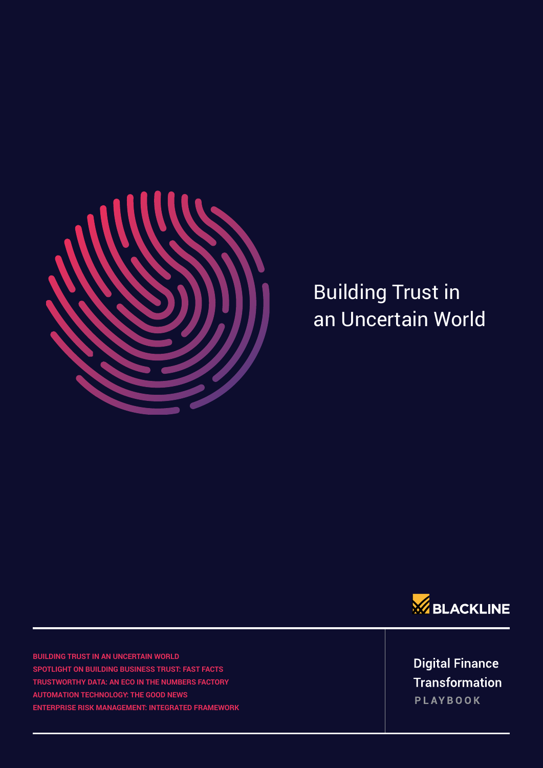

## Building Trust in an Uncertain World



**BUILDING TRUST IN AN UNCERTAIN WORLD SPOTLIGHT ON BUILDING BUSINESS TRUST: FAST FACTS TRUSTWORTHY DATA: AN ECO IN THE NUMBERS FACTORY AUTOMATION TECHNOLOGY: THE GOOD NEWS ENTERPRISE RISK MANAGEMENT: INTEGRATED FRAMEWORK** 

**Digital Finance Transformation** PLAYBOOK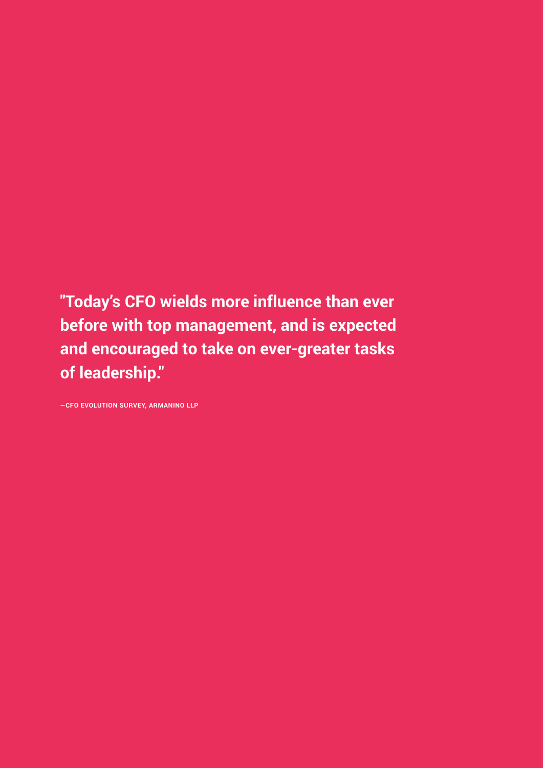**"Today's CFO wields more influence than ever before with top management, and is expected and encouraged to take on ever-greater tasks of leadership."** 

**―CFO EVOLUTION SURVEY, ARMANINO LLP**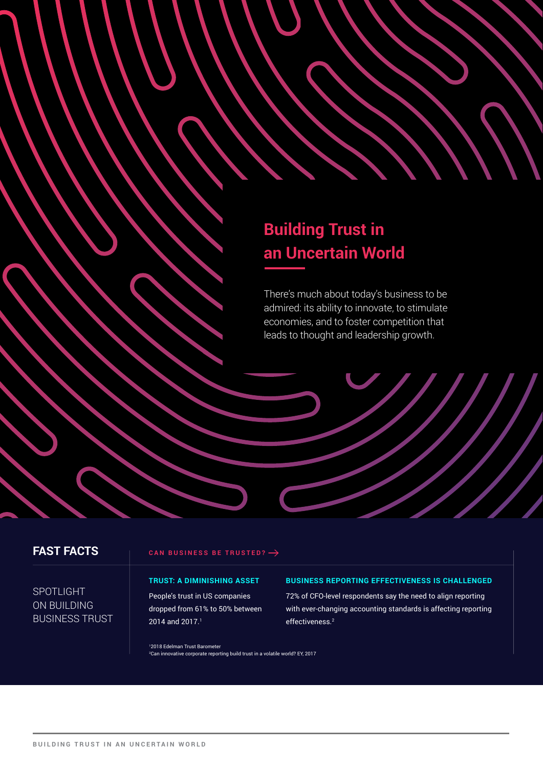## **Building Trust in an Uncertain World**

There's much about today's business to be admired: its ability to innovate, to stimulate economies, and to foster competition that leads to thought and leadership growth.

## **FAST FACTS**

**CAN BUSINESS BE TRUSTED?**

## **SPOTLIGHT** ON BUILDING BUSINESS TRUST

Building Trust in an Uncertain World

### **TRUST: A DIMINISHING ASSET**

People's trust in US companies dropped from 61% to 50% between 2014 and 2017.<sup>1</sup>

### **BUSINESS REPORTING EFFECTIVENESS IS CHALLENGED**

72% of CFO-level respondents say the need to align reporting with ever-changing accounting standards is affecting reporting effectiveness.2

1 2018 Edelman Trust Barometer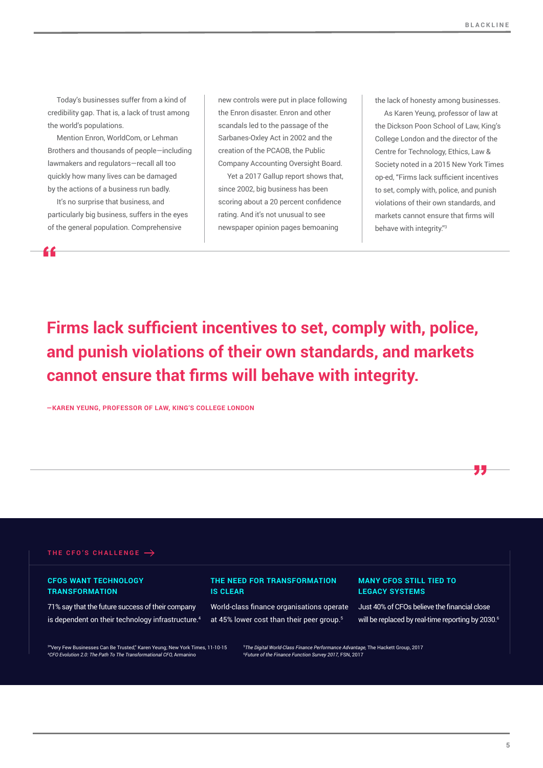Today's businesses suffer from a kind of credibility gap. That is, a lack of trust among the world's populations.

Mention Enron, WorldCom, or Lehman Brothers and thousands of people—including lawmakers and regulators—recall all too quickly how many lives can be damaged by the actions of a business run badly.

It's no surprise that business, and particularly big business, suffers in the eyes of the general population. Comprehensive

new controls were put in place following the Enron disaster. Enron and other scandals led to the passage of the Sarbanes-Oxley Act in 2002 and the creation of the PCAOB, the Public Company Accounting Oversight Board.

Yet a 2017 Gallup report shows that, since 2002, big business has been scoring about a 20 percent confidence rating. And it's not unusual to see newspaper opinion pages bemoaning

the lack of honesty among businesses.

As Karen Yeung, professor of law at the Dickson Poon School of Law, King's College London and the director of the Centre for Technology, Ethics, Law & Society noted in a 2015 New York Times op-ed, "Firms lack sufficient incentives to set, comply with, police, and punish violations of their own standards, and markets cannot ensure that firms will behave with integrity."3

**Firms lack sufficient incentives to set, comply with, police, and punish violations of their own standards, and markets cannot ensure that firms will behave with integrity.**

**―KAREN YEUNG, PROFESSOR OF LAW, KING'S COLLEGE LONDON**



### **CFOS WANT TECHNOLOGY TRANSFORMATION**

71% say that the future success of their company is dependent on their technology infrastructure.<sup>4</sup>

### **THE NEED FOR TRANSFORMATION IS CLEAR**

World-class finance organisations operate at 45% lower cost than their peer group.5

#### **MANY CFOS STILL TIED TO LEGACY SYSTEMS**

Just 40% of CFOs believe the financial close will be replaced by real-time reporting by 2030.<sup>6</sup>

"

3 "Very Few Businesses Can Be Trusted," Karen Yeung; New York Times, 11-10-15 4 *CFO Evolution 2.0: The Path To The Transformational CFO,* Armanino

5 *The Digital World-Class Finance Performance Advantage,* The Hackett Group, 2017 6 *Future of the Finance Function Survey 2017,* FSN, 2017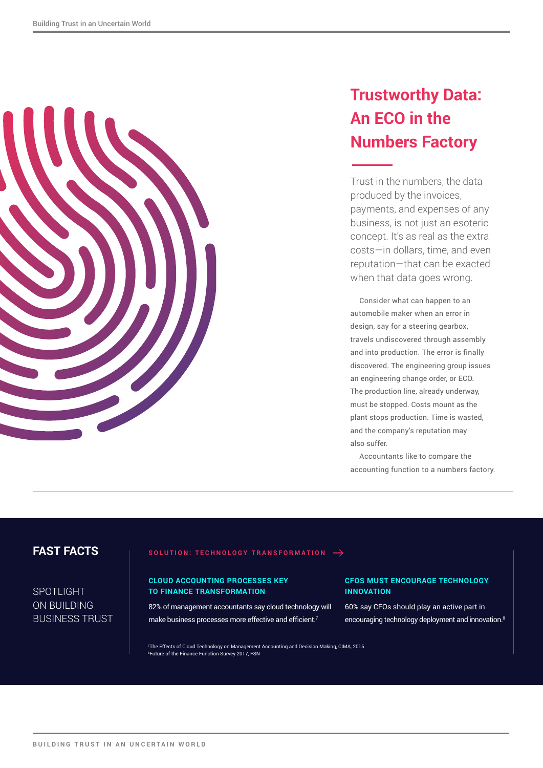

## **Trustworthy Data: An ECO in the Numbers Factory**

Trust in the numbers, the data produced by the invoices, payments, and expenses of any business, is not just an esoteric concept. It's as real as the extra costs—in dollars, time, and even reputation—that can be exacted when that data goes wrong.

Consider what can happen to an automobile maker when an error in design, say for a steering gearbox, travels undiscovered through assembly and into production. The error is finally discovered. The engineering group issues an engineering change order, or ECO. The production line, already underway, must be stopped. Costs mount as the plant stops production. Time is wasted, and the company's reputation may also suffer.

Accountants like to compare the accounting function to a numbers factory.

## **FAST FACTS**

### **SOLUTION: TECHNOLOGY TRANSFORMATION**

## SPOTLIGHT ON BUILDING BUSINESS TRUST

#### **CLOUD ACCOUNTING PROCESSES KEY TO FINANCE TRANSFORMATION**

82% of management accountants say cloud technology will make business processes more effective and efficient.<sup>7</sup>

## **CFOS MUST ENCOURAGE TECHNOLOGY INNOVATION**

60% say CFOs should play an active part in encouraging technology deployment and innovation.8

7 The Effects of Cloud Technology on Management Accounting and Decision Making, CIMA, 2015 8 Future of the Finance Function Survey 2017, FSN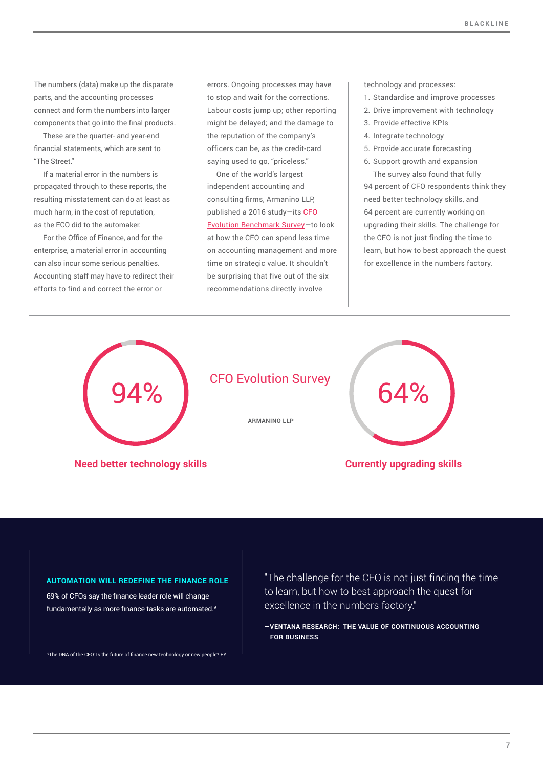The numbers (data) make up the disparate parts, and the accounting processes connect and form the numbers into larger components that go into the final products.

These are the quarter- and year-end financial statements, which are sent to "The Street."

If a material error in the numbers is propagated through to these reports, the resulting misstatement can do at least as much harm, in the cost of reputation, as the ECO did to the automaker.

For the Office of Finance, and for the enterprise, a material error in accounting can also incur some serious penalties. Accounting staff may have to redirect their efforts to find and correct the error or

errors. Ongoing processes may have to stop and wait for the corrections. Labour costs jump up; other reporting might be delayed; and the damage to the reputation of the company's officers can be, as the credit-card saying used to go, "priceless."

One of the world's largest independent accounting and consulting firms, Armanino LLP, published a 2016 study—its [CFO](http://www.armaninollp.com/about/cfo-evolution/)  [Evolution Benchmark Survey](http://www.armaninollp.com/about/cfo-evolution/)—to look at how the CFO can spend less time on accounting management and more time on strategic value. It shouldn't be surprising that five out of the six recommendations directly involve

technology and processes:

- 1. Standardise and improve processes
- 2. Drive improvement with technology
- 3. Provide effective KPIs
- 4. Integrate technology
- 5. Provide accurate forecasting
- 6. Support growth and expansion The survey also found that fully

94 percent of CFO respondents think they need better technology skills, and 64 percent are currently working on upgrading their skills. The challenge for the CFO is not just finding the time to learn, but how to best approach the quest for excellence in the numbers factory.



#### **AUTOMATION WILL REDEFINE THE FINANCE ROLE**

69% of CFOs say the finance leader role will change fundamentally as more finance tasks are automated.<sup>9</sup>

9 The DNA of the CFO: Is the future of finance new technology or new people? EY

"The challenge for the CFO is not just finding the time to learn, but how to best approach the quest for excellence in the numbers factory."

**―VENTANA RESEARCH: THE VALUE OF CONTINUOUS ACCOUNTING FOR BUSINESS**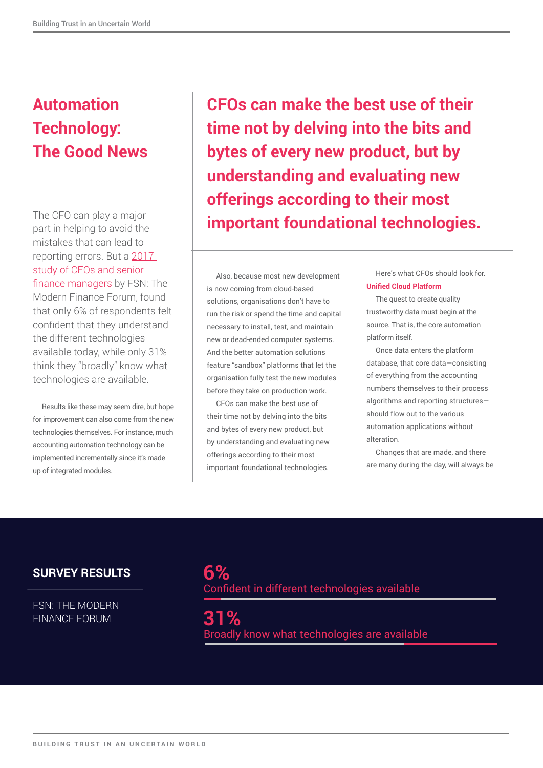## **Automation Technology: The Good News**

The CFO can play a major part in helping to avoid the mistakes that can lead to reporting errors. But a [2017](https://www.blackline.com/resources/whitepapers/the-future-of-the-finance-function-2017)  study of CFOs and senior [finance managers](https://www.blackline.com/resources/whitepapers/the-future-of-the-finance-function-2017) by FSN: The Modern Finance Forum, found that only 6% of respondents felt confident that they understand the different technologies available today, while only 31% think they "broadly" know what technologies are available.

Results like these may seem dire, but hope for improvement can also come from the new technologies themselves. For instance, much accounting automation technology can be implemented incrementally since it's made up of integrated modules.

**CFOs can make the best use of their time not by delving into the bits and bytes of every new product, but by understanding and evaluating new offerings according to their most important foundational technologies.**

Also, because most new development is now coming from cloud-based solutions, organisations don't have to run the risk or spend the time and capital necessary to install, test, and maintain new or dead-ended computer systems. And the better automation solutions feature "sandbox" platforms that let the organisation fully test the new modules before they take on production work.

CFOs can make the best use of their time not by delving into the bits and bytes of every new product, but by understanding and evaluating new offerings according to their most important foundational technologies.

Here's what CFOs should look for. **Unified Cloud Platform**

The quest to create quality trustworthy data must begin at the source. That is, the core automation platform itself.

Once data enters the platform database, that core data—consisting of everything from the accounting numbers themselves to their process algorithms and reporting structures should flow out to the various automation applications without alteration.

Changes that are made, and there are many during the day, will always be

## **SURVEY RESULTS**

FSN: THE MODERN FINANCE FORUM

**6%**  Confident in different technologies available

**31%**  Broadly know what technologies are available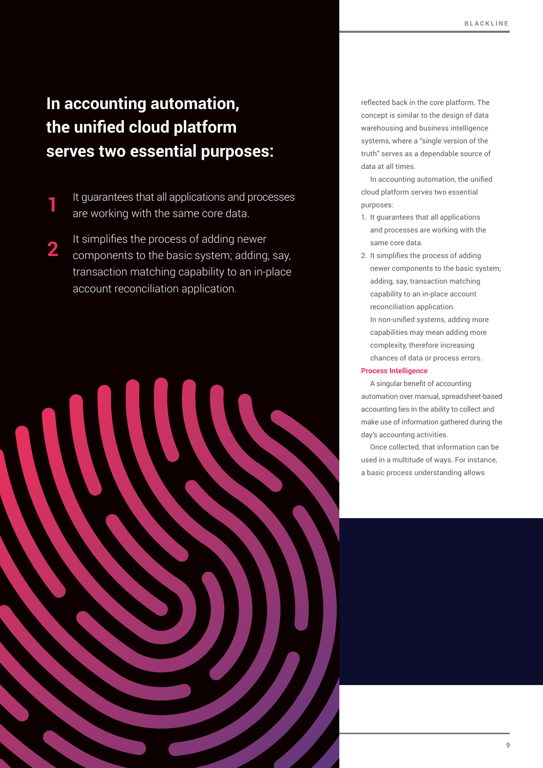## **In accounting automation, the unified cloud platform serves two essential purposes:**

- It guarantees that all applications and processes are working with the same core data. **1**
- It simplifies the process of adding newer components to the basic system; adding, say, transaction matching capability to an in-place account reconciliation application. **2**

reflected back in the core platform. The concept is similar to the design of data warehousing and business intelligence systems, where a "single version of the truth" serves as a dependable source of data at all times.

In accounting automation, the unified cloud platform serves two essential purposes:

- 1. It guarantees that all applications and processes are working with the same core data.
- 2. It simplifies the process of adding newer components to the basic system; adding, say, transaction matching capability to an in-place account reconciliation application. In non-unified systems, adding more capabilities may mean adding more complexity, therefore increasing chances of data or process errors.

### **Process Intelligence**

A singular benefit of accounting automation over manual, spreadsheet-based accounting lies in the ability to collect and make use of information gathered during the day's accounting activities.

Once collected, that information can be used in a multitude of ways. For instance, a basic process understanding allows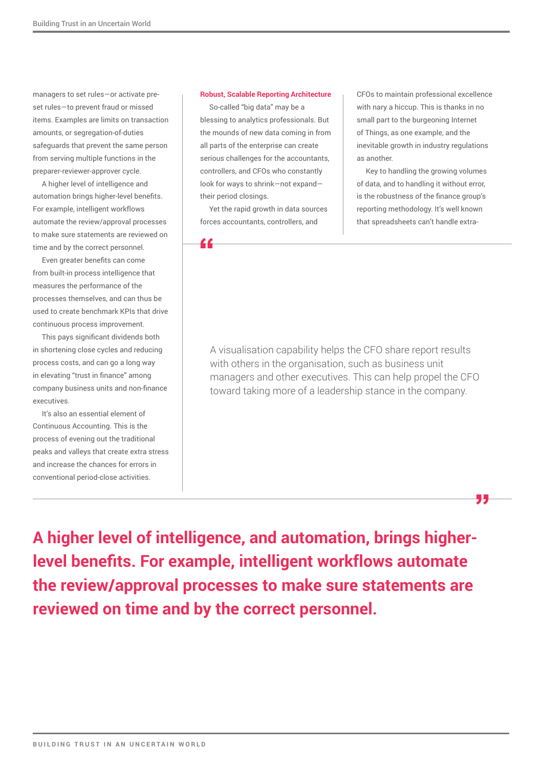managers to set rules—or activate preset rules—to prevent fraud or missed items. Examples are limits on transaction amounts, or segregation-of-duties safeguards that prevent the same person from serving multiple functions in the preparer-reviewer-approver cycle.

A higher level of intelligence and automation brings higher-level benefits. For example, intelligent workflows automate the review/approval processes to make sure statements are reviewed on time and by the correct personnel.

Even greater benefits can come from built-in process intelligence that measures the performance of the processes themselves, and can thus be used to create benchmark KPIs that drive continuous process improvement.

This pays significant dividends both in shortening close cycles and reducing process costs, and can go a long way in elevating "trust in finance" among company business units and non-finance executives.

It's also an essential element of Continuous Accounting. This is the process of evening out the traditional peaks and valleys that create extra stress and increase the chances for errors in conventional period-close activities.

### **Robust, Scalable Reporting Architecture**

So-called "big data" may be a blessing to analytics professionals. But the mounds of new data coming in from all parts of the enterprise can create serious challenges for the accountants, controllers, and CFOs who constantly look for ways to shrink—not expand their period closings.

Yet the rapid growth in data sources forces accountants, controllers, and

"

CFOs to maintain professional excellence with nary a hiccup. This is thanks in no small part to the burgeoning Internet of Things, as one example, and the inevitable growth in industry regulations as another.

Key to handling the growing volumes of data, and to handling it without error, is the robustness of the finance group's reporting methodology. It's well known that spreadsheets can't handle extra-

95

A visualisation capability helps the CFO share report results with others in the organisation, such as business unit managers and other executives. This can help propel the CFO toward taking more of a leadership stance in the company.

**A higher level of intelligence, and automation, brings higherlevel benefits. For example, intelligent workflows automate the review/approval processes to make sure statements are reviewed on time and by the correct personnel.**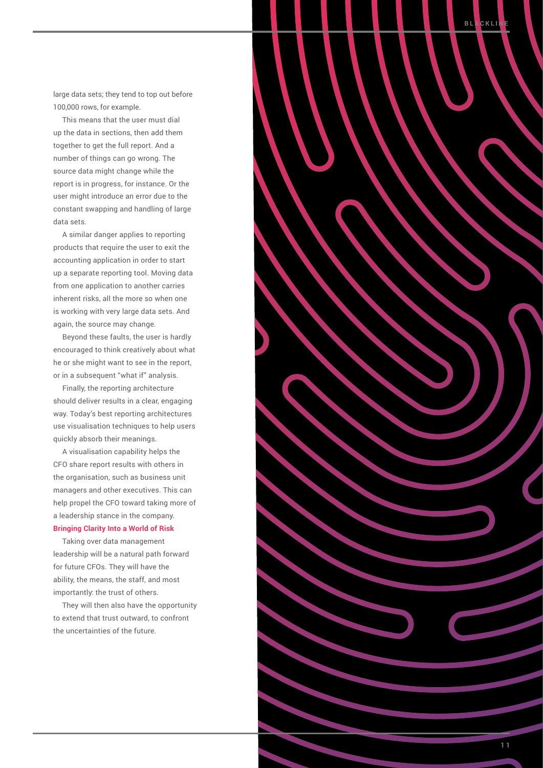large data sets; they tend to top out before 100,000 rows, for example.

This means that the user must dial up the data in sections, then add them together to get the full report. And a number of things can go wrong. The source data might change while the report is in progress, for instance. Or the user might introduce an error due to the constant swapping and handling of large data sets.

A similar danger applies to reporting products that require the user to exit the accounting application in order to start up a separate reporting tool. Moving data from one application to another carries inherent risks, all the more so when one is working with very large data sets. And again, the source may change.

Beyond these faults, the user is hardly encouraged to think creatively about what he or she might want to see in the report, or in a subsequent "what if" analysis.

Finally, the reporting architecture should deliver results in a clear, engaging way. Today's best reporting architectures use visualisation techniques to help users quickly absorb their meanings.

A visualisation capability helps the CFO share report results with others in the organisation, such as business unit managers and other executives. This can help propel the CFO toward taking more of a leadership stance in the company. **Bringing Clarity Into a World of Risk**

Taking over data management leadership will be a natural path forward for future CFOs. They will have the ability, the means, the staff, and most importantly: the trust of others.

They will then also have the opportunity to extend that trust outward, to confront the uncertainties of the future.